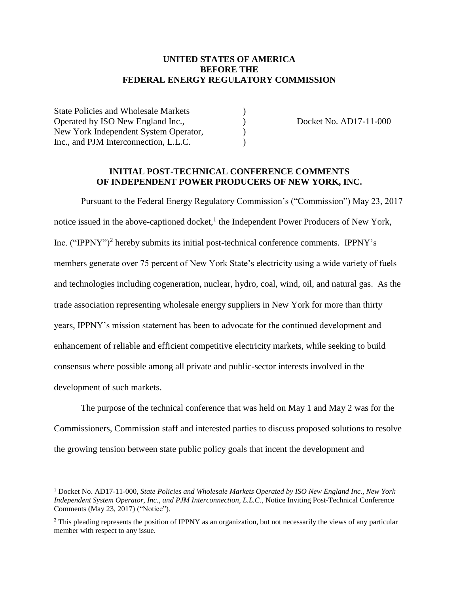#### **UNITED STATES OF AMERICA BEFORE THE FEDERAL ENERGY REGULATORY COMMISSION**

State Policies and Wholesale Markets (a) Operated by ISO New England Inc.,  $Docket No. AD17-11-000$ New York Independent System Operator,  $\qquad \qquad$  ) Inc., and PJM Interconnection, L.L.C.

 $\overline{a}$ 

#### **INITIAL POST-TECHNICAL CONFERENCE COMMENTS OF INDEPENDENT POWER PRODUCERS OF NEW YORK, INC.**

Pursuant to the Federal Energy Regulatory Commission's ("Commission") May 23, 2017 notice issued in the above-captioned docket,<sup>1</sup> the Independent Power Producers of New York, Inc. ("IPPNY")<sup>2</sup> hereby submits its initial post-technical conference comments. IPPNY's members generate over 75 percent of New York State's electricity using a wide variety of fuels and technologies including cogeneration, nuclear, hydro, coal, wind, oil, and natural gas. As the trade association representing wholesale energy suppliers in New York for more than thirty years, IPPNY's mission statement has been to advocate for the continued development and enhancement of reliable and efficient competitive electricity markets, while seeking to build consensus where possible among all private and public-sector interests involved in the development of such markets.

The purpose of the technical conference that was held on May 1 and May 2 was for the Commissioners, Commission staff and interested parties to discuss proposed solutions to resolve the growing tension between state public policy goals that incent the development and

<sup>1</sup> Docket No. AD17-11-000, *State Policies and Wholesale Markets Operated by ISO New England Inc., New York Independent System Operator, Inc., and PJM Interconnection, L.L.C*., Notice Inviting Post-Technical Conference Comments (May 23, 2017) ("Notice").

<sup>&</sup>lt;sup>2</sup> This pleading represents the position of IPPNY as an organization, but not necessarily the views of any particular member with respect to any issue.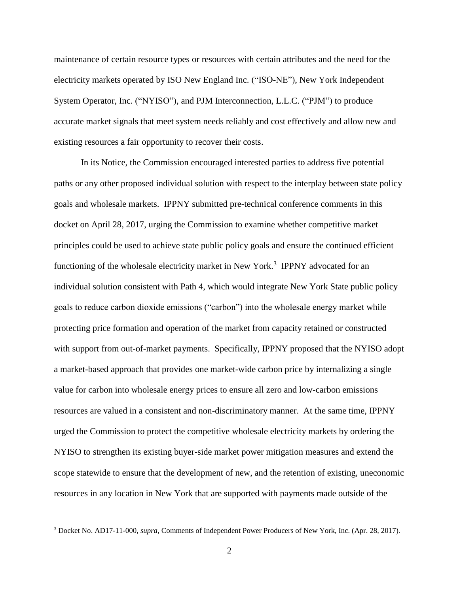maintenance of certain resource types or resources with certain attributes and the need for the electricity markets operated by ISO New England Inc. ("ISO-NE"), New York Independent System Operator, Inc. ("NYISO"), and PJM Interconnection, L.L.C. ("PJM") to produce accurate market signals that meet system needs reliably and cost effectively and allow new and existing resources a fair opportunity to recover their costs.

In its Notice, the Commission encouraged interested parties to address five potential paths or any other proposed individual solution with respect to the interplay between state policy goals and wholesale markets. IPPNY submitted pre-technical conference comments in this docket on April 28, 2017, urging the Commission to examine whether competitive market principles could be used to achieve state public policy goals and ensure the continued efficient functioning of the wholesale electricity market in New York.<sup>3</sup> IPPNY advocated for an individual solution consistent with Path 4, which would integrate New York State public policy goals to reduce carbon dioxide emissions ("carbon") into the wholesale energy market while protecting price formation and operation of the market from capacity retained or constructed with support from out-of-market payments. Specifically, IPPNY proposed that the NYISO adopt a market-based approach that provides one market-wide carbon price by internalizing a single value for carbon into wholesale energy prices to ensure all zero and low-carbon emissions resources are valued in a consistent and non-discriminatory manner. At the same time, IPPNY urged the Commission to protect the competitive wholesale electricity markets by ordering the NYISO to strengthen its existing buyer-side market power mitigation measures and extend the scope statewide to ensure that the development of new, and the retention of existing, uneconomic resources in any location in New York that are supported with payments made outside of the

<sup>3</sup> Docket No. AD17-11-000, *supra*, Comments of Independent Power Producers of New York, Inc. (Apr. 28, 2017).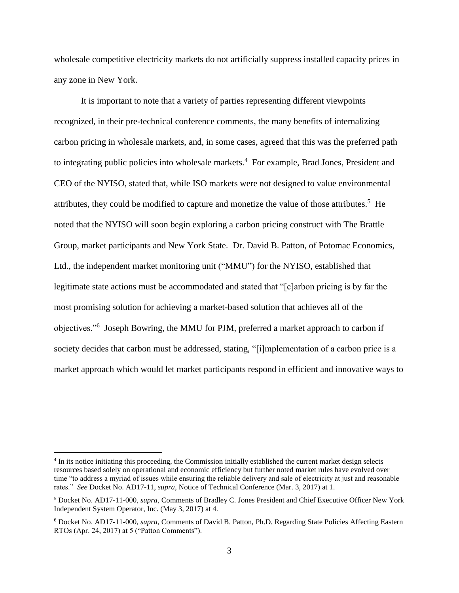wholesale competitive electricity markets do not artificially suppress installed capacity prices in any zone in New York.

It is important to note that a variety of parties representing different viewpoints recognized, in their pre-technical conference comments, the many benefits of internalizing carbon pricing in wholesale markets, and, in some cases, agreed that this was the preferred path to integrating public policies into wholesale markets.<sup>4</sup> For example, Brad Jones, President and CEO of the NYISO, stated that, while ISO markets were not designed to value environmental attributes, they could be modified to capture and monetize the value of those attributes.<sup>5</sup> He noted that the NYISO will soon begin exploring a carbon pricing construct with The Brattle Group, market participants and New York State. Dr. David B. Patton, of Potomac Economics, Ltd., the independent market monitoring unit ("MMU") for the NYISO, established that legitimate state actions must be accommodated and stated that "[c]arbon pricing is by far the most promising solution for achieving a market-based solution that achieves all of the objectives."<sup>6</sup> Joseph Bowring, the MMU for PJM, preferred a market approach to carbon if society decides that carbon must be addressed, stating, "[i]mplementation of a carbon price is a market approach which would let market participants respond in efficient and innovative ways to

<sup>&</sup>lt;sup>4</sup> In its notice initiating this proceeding, the Commission initially established the current market design selects resources based solely on operational and economic efficiency but further noted market rules have evolved over time "to address a myriad of issues while ensuring the reliable delivery and sale of electricity at just and reasonable rates." *See* Docket No. AD17-11, *supra*, Notice of Technical Conference (Mar. 3, 2017) at 1.

<sup>5</sup> Docket No. AD17-11-000, *supra,* Comments of Bradley C. Jones President and Chief Executive Officer New York Independent System Operator, Inc. (May 3, 2017) at 4.

<sup>6</sup> Docket No. AD17-11-000, *supra*, Comments of David B. Patton, Ph.D. Regarding State Policies Affecting Eastern RTOs (Apr. 24, 2017) at 5 ("Patton Comments").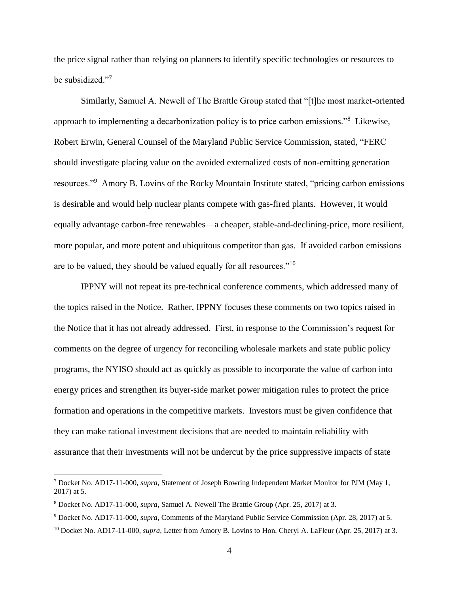the price signal rather than relying on planners to identify specific technologies or resources to be subsidized."7

Similarly, Samuel A. Newell of The Brattle Group stated that "[t]he most market-oriented approach to implementing a decarbonization policy is to price carbon emissions."<sup>8</sup> Likewise, Robert Erwin, General Counsel of the Maryland Public Service Commission, stated, "FERC should investigate placing value on the avoided externalized costs of non-emitting generation resources."<sup>9</sup> Amory B. Lovins of the Rocky Mountain Institute stated, "pricing carbon emissions is desirable and would help nuclear plants compete with gas-fired plants. However, it would equally advantage carbon-free renewables—a cheaper, stable-and-declining-price, more resilient, more popular, and more potent and ubiquitous competitor than gas. If avoided carbon emissions are to be valued, they should be valued equally for all resources."<sup>10</sup>

IPPNY will not repeat its pre-technical conference comments, which addressed many of the topics raised in the Notice. Rather, IPPNY focuses these comments on two topics raised in the Notice that it has not already addressed. First, in response to the Commission's request for comments on the degree of urgency for reconciling wholesale markets and state public policy programs, the NYISO should act as quickly as possible to incorporate the value of carbon into energy prices and strengthen its buyer-side market power mitigation rules to protect the price formation and operations in the competitive markets. Investors must be given confidence that they can make rational investment decisions that are needed to maintain reliability with assurance that their investments will not be undercut by the price suppressive impacts of state

<sup>7</sup> Docket No. AD17-11-000, *supra*, Statement of Joseph Bowring Independent Market Monitor for PJM (May 1, 2017) at 5.

<sup>8</sup> Docket No. AD17-11-000, *supra*, Samuel A. Newell The Brattle Group (Apr. 25, 2017) at 3.

<sup>9</sup> Docket No. AD17-11-000, *supra*, Comments of the Maryland Public Service Commission (Apr. 28, 2017) at 5.

<sup>10</sup> Docket No. AD17-11-000, *supra*, Letter from Amory B. Lovins to Hon. Cheryl A. LaFleur (Apr. 25, 2017) at 3.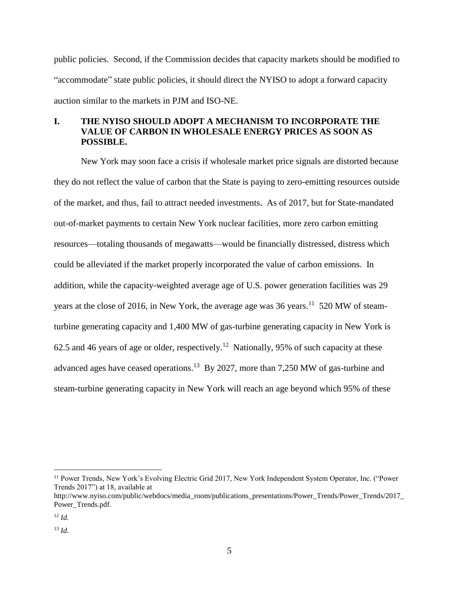public policies. Second, if the Commission decides that capacity markets should be modified to "accommodate" state public policies, it should direct the NYISO to adopt a forward capacity auction similar to the markets in PJM and ISO-NE.

# **I. THE NYISO SHOULD ADOPT A MECHANISM TO INCORPORATE THE VALUE OF CARBON IN WHOLESALE ENERGY PRICES AS SOON AS POSSIBLE.**

New York may soon face a crisis if wholesale market price signals are distorted because they do not reflect the value of carbon that the State is paying to zero-emitting resources outside of the market, and thus, fail to attract needed investments. As of 2017, but for State-mandated out-of-market payments to certain New York nuclear facilities, more zero carbon emitting resources—totaling thousands of megawatts—would be financially distressed, distress which could be alleviated if the market properly incorporated the value of carbon emissions. In addition, while the capacity-weighted average age of U.S. power generation facilities was 29 years at the close of 2016, in New York, the average age was 36 years.<sup>11</sup> 520 MW of steamturbine generating capacity and 1,400 MW of gas-turbine generating capacity in New York is 62.5 and 46 years of age or older, respectively.<sup>12</sup> Nationally, 95% of such capacity at these advanced ages have ceased operations.<sup>13</sup> By 2027, more than 7,250 MW of gas-turbine and steam-turbine generating capacity in New York will reach an age beyond which 95% of these

<sup>&</sup>lt;sup>11</sup> Power Trends, New York's Evolving Electric Grid 2017, New York Independent System Operator, Inc. ("Power Trends 2017") at 18, available at

http://www.nyiso.com/public/webdocs/media\_room/publications\_presentations/Power\_Trends/Power\_Trends/2017 Power\_Trends.pdf.

<sup>12</sup> *Id.*

<sup>13</sup> *Id.*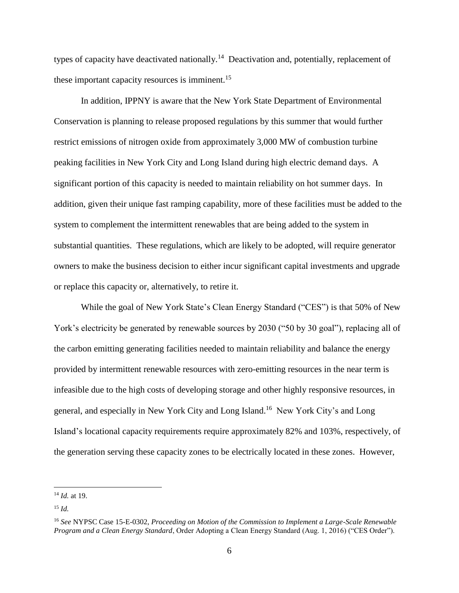types of capacity have deactivated nationally.<sup>14</sup> Deactivation and, potentially, replacement of these important capacity resources is imminent.<sup>15</sup>

In addition, IPPNY is aware that the New York State Department of Environmental Conservation is planning to release proposed regulations by this summer that would further restrict emissions of nitrogen oxide from approximately 3,000 MW of combustion turbine peaking facilities in New York City and Long Island during high electric demand days. A significant portion of this capacity is needed to maintain reliability on hot summer days. In addition, given their unique fast ramping capability, more of these facilities must be added to the system to complement the intermittent renewables that are being added to the system in substantial quantities. These regulations, which are likely to be adopted, will require generator owners to make the business decision to either incur significant capital investments and upgrade or replace this capacity or, alternatively, to retire it.

While the goal of New York State's Clean Energy Standard ("CES") is that 50% of New York's electricity be generated by renewable sources by 2030 ("50 by 30 goal"), replacing all of the carbon emitting generating facilities needed to maintain reliability and balance the energy provided by intermittent renewable resources with zero-emitting resources in the near term is infeasible due to the high costs of developing storage and other highly responsive resources, in general, and especially in New York City and Long Island. 16 New York City's and Long Island's locational capacity requirements require approximately 82% and 103%, respectively, of the generation serving these capacity zones to be electrically located in these zones. However,

<sup>14</sup> *Id.* at 19.

<sup>15</sup> *Id.*

<sup>16</sup> *See* NYPSC Case 15-E-0302, *Proceeding on Motion of the Commission to Implement a Large-Scale Renewable Program and a Clean Energy Standard*, Order Adopting a Clean Energy Standard (Aug. 1, 2016) ("CES Order").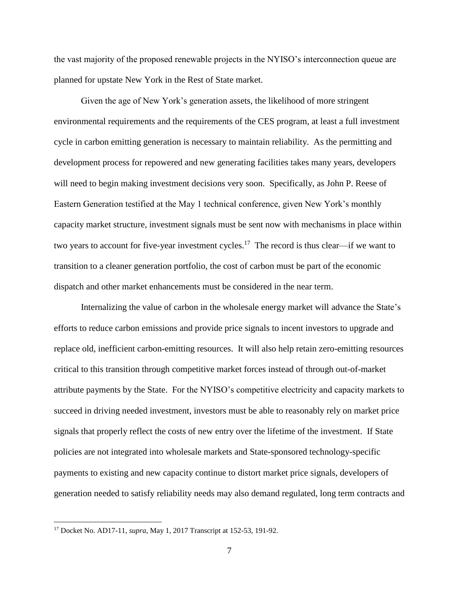the vast majority of the proposed renewable projects in the NYISO's interconnection queue are planned for upstate New York in the Rest of State market.

Given the age of New York's generation assets, the likelihood of more stringent environmental requirements and the requirements of the CES program, at least a full investment cycle in carbon emitting generation is necessary to maintain reliability. As the permitting and development process for repowered and new generating facilities takes many years, developers will need to begin making investment decisions very soon. Specifically, as John P. Reese of Eastern Generation testified at the May 1 technical conference, given New York's monthly capacity market structure, investment signals must be sent now with mechanisms in place within two years to account for five-year investment cycles.<sup>17</sup> The record is thus clear—if we want to transition to a cleaner generation portfolio, the cost of carbon must be part of the economic dispatch and other market enhancements must be considered in the near term.

Internalizing the value of carbon in the wholesale energy market will advance the State's efforts to reduce carbon emissions and provide price signals to incent investors to upgrade and replace old, inefficient carbon-emitting resources. It will also help retain zero-emitting resources critical to this transition through competitive market forces instead of through out-of-market attribute payments by the State. For the NYISO's competitive electricity and capacity markets to succeed in driving needed investment, investors must be able to reasonably rely on market price signals that properly reflect the costs of new entry over the lifetime of the investment. If State policies are not integrated into wholesale markets and State-sponsored technology-specific payments to existing and new capacity continue to distort market price signals, developers of generation needed to satisfy reliability needs may also demand regulated, long term contracts and

<sup>17</sup> Docket No. AD17-11, *supra*, May 1, 2017 Transcript at 152-53, 191-92.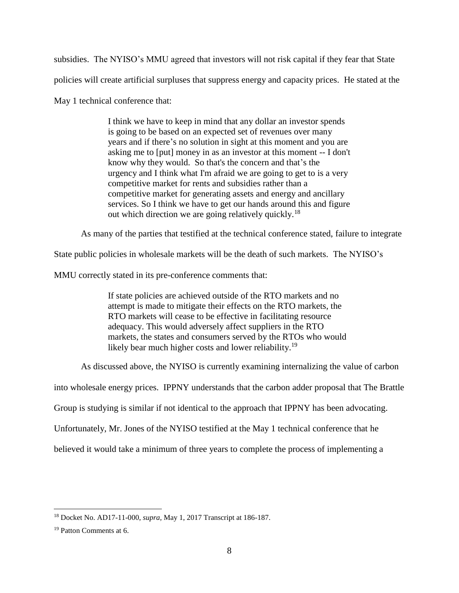subsidies. The NYISO's MMU agreed that investors will not risk capital if they fear that State policies will create artificial surpluses that suppress energy and capacity prices. He stated at the May 1 technical conference that:

> I think we have to keep in mind that any dollar an investor spends is going to be based on an expected set of revenues over many years and if there's no solution in sight at this moment and you are asking me to [put] money in as an investor at this moment -- I don't know why they would. So that's the concern and that's the urgency and I think what I'm afraid we are going to get to is a very competitive market for rents and subsidies rather than a competitive market for generating assets and energy and ancillary services. So I think we have to get our hands around this and figure out which direction we are going relatively quickly.<sup>18</sup>

As many of the parties that testified at the technical conference stated, failure to integrate

State public policies in wholesale markets will be the death of such markets. The NYISO's

MMU correctly stated in its pre-conference comments that:

If state policies are achieved outside of the RTO markets and no attempt is made to mitigate their effects on the RTO markets, the RTO markets will cease to be effective in facilitating resource adequacy. This would adversely affect suppliers in the RTO markets, the states and consumers served by the RTOs who would likely bear much higher costs and lower reliability.<sup>19</sup>

As discussed above, the NYISO is currently examining internalizing the value of carbon

into wholesale energy prices. IPPNY understands that the carbon adder proposal that The Brattle

Group is studying is similar if not identical to the approach that IPPNY has been advocating.

Unfortunately, Mr. Jones of the NYISO testified at the May 1 technical conference that he

believed it would take a minimum of three years to complete the process of implementing a

<sup>18</sup> Docket No. AD17-11-000, *supra,* May 1, 2017 Transcript at 186-187.

<sup>19</sup> Patton Comments at 6.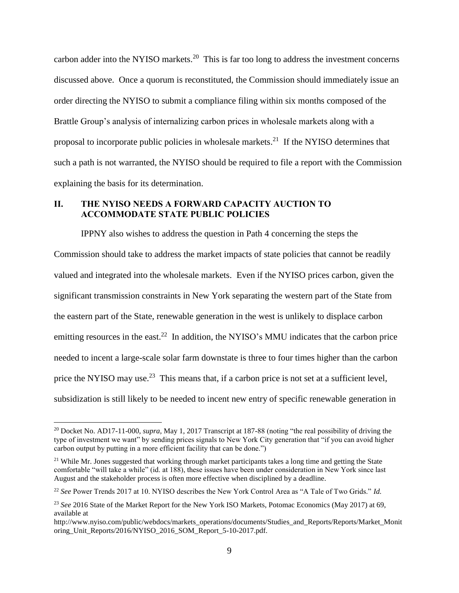carbon adder into the NYISO markets.<sup>20</sup> This is far too long to address the investment concerns discussed above. Once a quorum is reconstituted, the Commission should immediately issue an order directing the NYISO to submit a compliance filing within six months composed of the Brattle Group's analysis of internalizing carbon prices in wholesale markets along with a proposal to incorporate public policies in wholesale markets.<sup>21</sup> If the NYISO determines that such a path is not warranted, the NYISO should be required to file a report with the Commission explaining the basis for its determination.

### II. THE NYISO NEEDS A FORWARD CAPACITY AUCTION TO ACCOMMODATE STATE PUBLIC POLICIES

IPPNY also wishes to address the question in Path 4 concerning the steps the Commission should take to address the market impacts of state policies that cannot be readily valued and integrated into the wholesale markets. Even if the NYISO prices carbon, given the significant transmission constraints in New York separating the western part of the State from the eastern part of the State, renewable generation in the west is unlikely to displace carbon emitting resources in the east.<sup>22</sup> In addition, the NYISO's MMU indicates that the carbon price needed to incent a large-scale solar farm downstate is three to four times higher than the carbon price the NYISO may use.<sup>23</sup> This means that, if a carbon price is not set at a sufficient level, subsidization is still likely to be needed to incent new entry of specific renewable generation in

<sup>20</sup> Docket No. AD17-11-000, *supra,* May 1, 2017 Transcript at 187-88 (noting "the real possibility of driving the type of investment we want" by sending prices signals to New York City generation that "if you can avoid higher carbon output by putting in a more efficient facility that can be done.")

<sup>&</sup>lt;sup>21</sup> While Mr. Jones suggested that working through market participants takes a long time and getting the State comfortable "will take a while" (id. at 188), these issues have been under consideration in New York since last August and the stakeholder process is often more effective when disciplined by a deadline.

<sup>22</sup> *See* Power Trends 2017 at 10. NYISO describes the New York Control Area as "A Tale of Two Grids." *Id.*

<sup>&</sup>lt;sup>23</sup> See 2016 State of the Market Report for the New York ISO Markets, Potomac Economics (May 2017) at 69, available at

http://www.nyiso.com/public/webdocs/markets\_operations/documents/Studies\_and\_Reports/Reports/Market\_Monit oring\_Unit\_Reports/2016/NYISO\_2016\_SOM\_Report\_5-10-2017.pdf.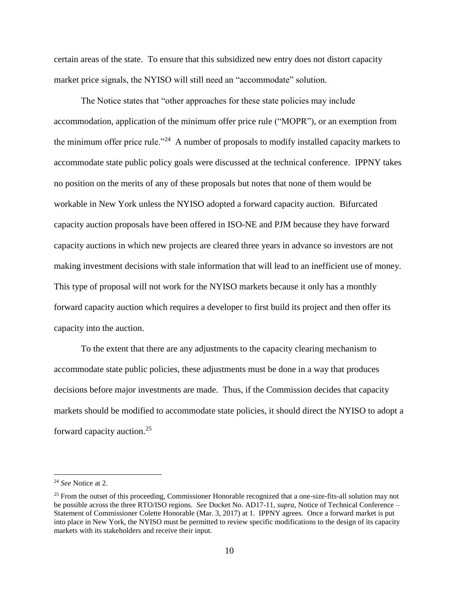certain areas of the state. To ensure that this subsidized new entry does not distort capacity market price signals, the NYISO will still need an "accommodate" solution.

The Notice states that "other approaches for these state policies may include accommodation, application of the minimum offer price rule ("MOPR"), or an exemption from the minimum offer price rule."<sup>24</sup> A number of proposals to modify installed capacity markets to accommodate state public policy goals were discussed at the technical conference. IPPNY takes no position on the merits of any of these proposals but notes that none of them would be workable in New York unless the NYISO adopted a forward capacity auction. Bifurcated capacity auction proposals have been offered in ISO-NE and PJM because they have forward capacity auctions in which new projects are cleared three years in advance so investors are not making investment decisions with stale information that will lead to an inefficient use of money. This type of proposal will not work for the NYISO markets because it only has a monthly forward capacity auction which requires a developer to first build its project and then offer its capacity into the auction.

To the extent that there are any adjustments to the capacity clearing mechanism to accommodate state public policies, these adjustments must be done in a way that produces decisions before major investments are made. Thus, if the Commission decides that capacity markets should be modified to accommodate state policies, it should direct the NYISO to adopt a forward capacity auction.<sup>25</sup>

<sup>24</sup> *See* Notice at 2.

 $25$  From the outset of this proceeding, Commissioner Honorable recognized that a one-size-fits-all solution may not be possible across the three RTO/ISO regions. *See* Docket No. AD17-11, *supra*, Notice of Technical Conference – Statement of Commissioner Colette Honorable (Mar. 3, 2017) at 1. IPPNY agrees. Once a forward market is put into place in New York, the NYISO must be permitted to review specific modifications to the design of its capacity markets with its stakeholders and receive their input.